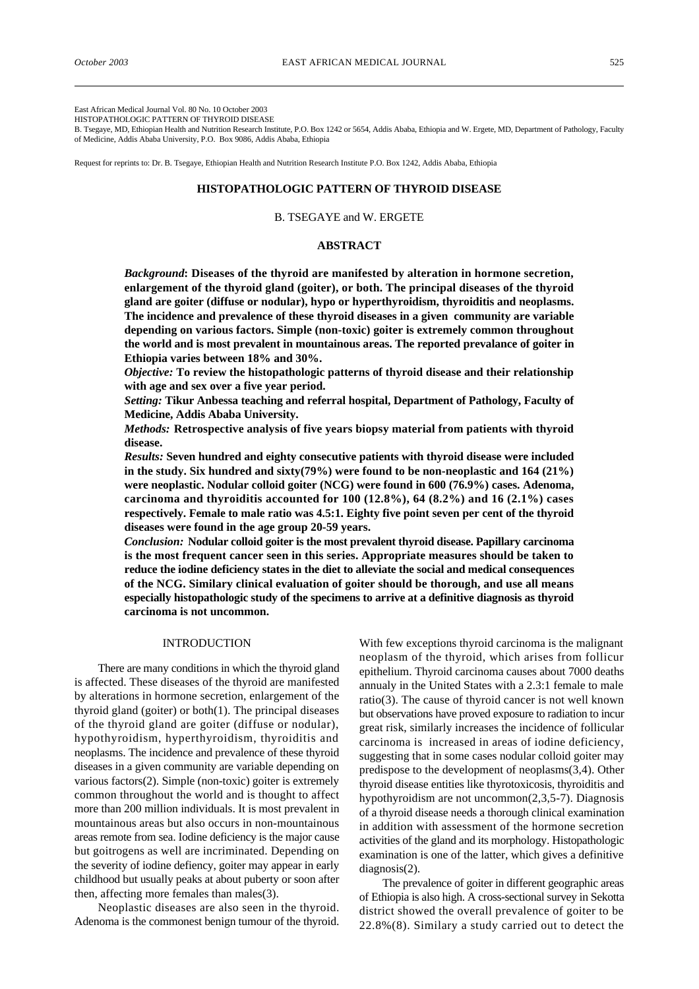East African Medical Journal Vol. 80 No. 10 October 2003

HISTOPATHOLOGIC PATTERN OF THYROID DISEASE

B. Tsegaye, MD, Ethiopian Health and Nutrition Research Institute, P.O. Box 1242 or 5654, Addis Ababa, Ethiopia and W. Ergete, MD, Department of Pathology, Faculty of Medicine, Addis Ababa University, P.O. Box 9086, Addis Ababa, Ethiopia

Request for reprints to: Dr. B. Tsegaye, Ethiopian Health and Nutrition Research Institute P.O. Box 1242, Addis Ababa, Ethiopia

# **HISTOPATHOLOGIC PATTERN OF THYROID DISEASE**

### B. TSEGAYE and W. ERGETE

### **ABSTRACT**

*Background***: Diseases of the thyroid are manifested by alteration in hormone secretion, enlargement of the thyroid gland (goiter), or both. The principal diseases of the thyroid gland are goiter (diffuse or nodular), hypo or hyperthyroidism, thyroiditis and neoplasms. The incidence and prevalence of these thyroid diseases in a given community are variable depending on various factors. Simple (non-toxic) goiter is extremely common throughout the world and is most prevalent in mountainous areas. The reported prevalance of goiter in Ethiopia varies between 18% and 30%.**

*Objective:* **To review the histopathologic patterns of thyroid disease and their relationship with age and sex over a five year period.**

*Setting:* **Tikur Anbessa teaching and referral hospital, Department of Pathology, Faculty of Medicine, Addis Ababa University.**

*Methods:* **Retrospective analysis of five years biopsy material from patients with thyroid disease.**

*Results:* **Seven hundred and eighty consecutive patients with thyroid disease were included in the study. Six hundred and sixty(79%) were found to be non-neoplastic and 164 (21%) were neoplastic. Nodular colloid goiter (NCG) were found in 600 (76.9%) cases. Adenoma, carcinoma and thyroiditis accounted for 100 (12.8%), 64 (8.2%) and 16 (2.1%) cases respectively. Female to male ratio was 4.5:1. Eighty five point seven per cent of the thyroid diseases were found in the age group 20-59 years.**

*Conclusion:* **Nodular colloid goiter is the most prevalent thyroid disease. Papillary carcinoma is the most frequent cancer seen in this series. Appropriate measures should be taken to reduce the iodine deficiency states in the diet to alleviate the social and medical consequences of the NCG. Similary clinical evaluation of goiter should be thorough, and use all means especially histopathologic study of the specimens to arrive at a definitive diagnosis as thyroid carcinoma is not uncommon.**

#### INTRODUCTION

There are many conditions in which the thyroid gland is affected. These diseases of the thyroid are manifested by alterations in hormone secretion, enlargement of the thyroid gland (goiter) or both(1). The principal diseases of the thyroid gland are goiter (diffuse or nodular), hypothyroidism, hyperthyroidism, thyroiditis and neoplasms. The incidence and prevalence of these thyroid diseases in a given community are variable depending on various factors(2). Simple (non-toxic) goiter is extremely common throughout the world and is thought to affect more than 200 million individuals. It is most prevalent in mountainous areas but also occurs in non-mountainous areas remote from sea. Iodine deficiency is the major cause but goitrogens as well are incriminated. Depending on the severity of iodine defiency, goiter may appear in early childhood but usually peaks at about puberty or soon after then, affecting more females than males(3).

Neoplastic diseases are also seen in the thyroid. Adenoma is the commonest benign tumour of the thyroid. With few exceptions thyroid carcinoma is the malignant neoplasm of the thyroid, which arises from follicur epithelium. Thyroid carcinoma causes about 7000 deaths annualy in the United States with a 2.3:1 female to male ratio(3). The cause of thyroid cancer is not well known but observations have proved exposure to radiation to incur great risk, similarly increases the incidence of follicular carcinoma is increased in areas of iodine deficiency, suggesting that in some cases nodular colloid goiter may predispose to the development of neoplasms(3,4). Other thyroid disease entities like thyrotoxicosis, thyroiditis and hypothyroidism are not uncommon(2,3,5-7). Diagnosis of a thyroid disease needs a thorough clinical examination in addition with assessment of the hormone secretion activities of the gland and its morphology. Histopathologic examination is one of the latter, which gives a definitive diagnosis(2).

The prevalence of goiter in different geographic areas of Ethiopia is also high. A cross-sectional survey in Sekotta district showed the overall prevalence of goiter to be 22.8%(8). Similary a study carried out to detect the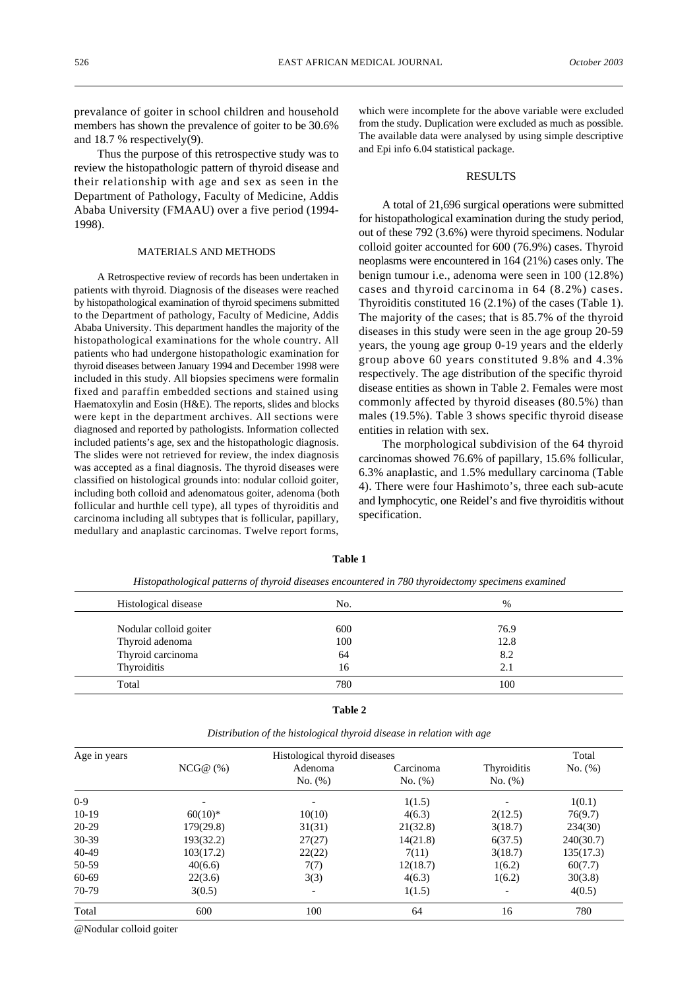prevalance of goiter in school children and household members has shown the prevalence of goiter to be 30.6% and 18.7 % respectively(9).

Thus the purpose of this retrospective study was to review the histopathologic pattern of thyroid disease and their relationship with age and sex as seen in the Department of Pathology, Faculty of Medicine, Addis Ababa University (FMAAU) over a five period (1994- 1998).

## MATERIALS AND METHODS

A Retrospective review of records has been undertaken in patients with thyroid. Diagnosis of the diseases were reached by histopathological examination of thyroid specimens submitted to the Department of pathology, Faculty of Medicine, Addis Ababa University. This department handles the majority of the histopathological examinations for the whole country. All patients who had undergone histopathologic examination for thyroid diseases between January 1994 and December 1998 were included in this study. All biopsies specimens were formalin fixed and paraffin embedded sections and stained using Haematoxylin and Eosin (H&E). The reports, slides and blocks were kept in the department archives. All sections were diagnosed and reported by pathologists. Information collected included patients's age, sex and the histopathologic diagnosis. The slides were not retrieved for review, the index diagnosis was accepted as a final diagnosis. The thyroid diseases were classified on histological grounds into: nodular colloid goiter, including both colloid and adenomatous goiter, adenoma (both follicular and hurthle cell type), all types of thyroiditis and carcinoma including all subtypes that is follicular, papillary, medullary and anaplastic carcinomas. Twelve report forms,

which were incomplete for the above variable were excluded from the study. Duplication were excluded as much as possible. The available data were analysed by using simple descriptive and Epi info 6.04 statistical package.

#### RESULTS

A total of 21,696 surgical operations were submitted for histopathological examination during the study period, out of these 792 (3.6%) were thyroid specimens. Nodular colloid goiter accounted for 600 (76.9%) cases. Thyroid neoplasms were encountered in 164 (21%) cases only. The benign tumour i.e., adenoma were seen in 100 (12.8%) cases and thyroid carcinoma in 64 (8.2%) cases. Thyroiditis constituted 16 (2.1%) of the cases (Table 1). The majority of the cases; that is 85.7% of the thyroid diseases in this study were seen in the age group 20-59 years, the young age group 0-19 years and the elderly group above 60 years constituted 9.8% and 4.3% respectively. The age distribution of the specific thyroid disease entities as shown in Table 2. Females were most commonly affected by thyroid diseases (80.5%) than males (19.5%). Table 3 shows specific thyroid disease entities in relation with sex.

The morphological subdivision of the 64 thyroid carcinomas showed 76.6% of papillary, 15.6% follicular, 6.3% anaplastic, and 1.5% medullary carcinoma (Table 4). There were four Hashimoto's, three each sub-acute and lymphocytic, one Reidel's and five thyroiditis without specification.

| Histological disease   | No. | %    |
|------------------------|-----|------|
| Nodular colloid goiter | 600 | 76.9 |
| Thyroid adenoma        | 100 | 12.8 |
| Thyroid carcinoma      | 64  | 8.2  |
| Thyroiditis            | 16  | 2.1  |
| Total                  | 780 | 100  |

**Table 1**

*Histopathological patterns of thyroid diseases encountered in 780 thyroidectomy specimens examined*

**Table 2**

| Age in years | Histological thyroid diseases |                    |                         |                               | Total     |
|--------------|-------------------------------|--------------------|-------------------------|-------------------------------|-----------|
|              | NCG@(%)                       | Adenoma<br>No. (%) | Carcinoma<br>No. $(\%)$ | <b>Thyroiditis</b><br>No. (%) | No. (%)   |
| $0 - 9$      |                               |                    | 1(1.5)                  |                               | 1(0.1)    |
| $10-19$      | $60(10)*$                     | 10(10)             | 4(6.3)                  | 2(12.5)                       | 76(9.7)   |
| $20-29$      | 179(29.8)                     | 31(31)             | 21(32.8)                | 3(18.7)                       | 234(30)   |
| $30-39$      | 193(32.2)                     | 27(27)             | 14(21.8)                | 6(37.5)                       | 240(30.7) |
| 40-49        | 103(17.2)                     | 22(22)             | 7(11)                   | 3(18.7)                       | 135(17.3) |
| 50-59        | 40(6.6)                       | 7(7)               | 12(18.7)                | 1(6.2)                        | 60(7.7)   |
| 60-69        | 22(3.6)                       | 3(3)               | 4(6.3)                  | 1(6.2)                        | 30(3.8)   |
| 70-79        | 3(0.5)                        | ٠                  | 1(1.5)                  |                               | 4(0.5)    |
| Total        | 600                           | 100                | 64                      | 16                            | 780       |

*Distribution of the histological thyroid disease in relation with age*

@Nodular colloid goiter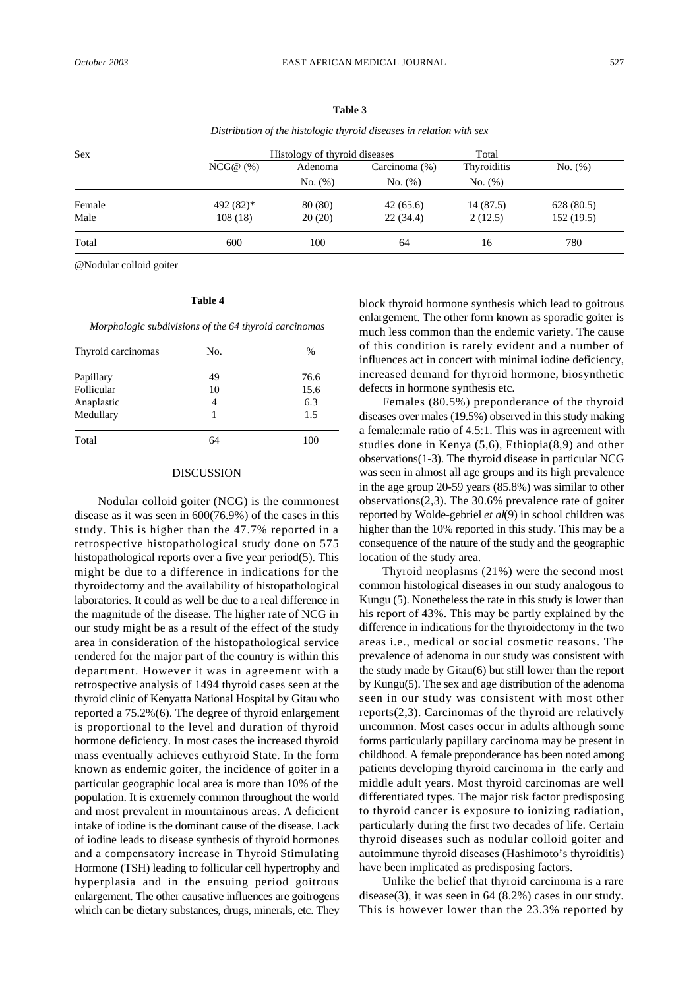|            |                               | Distribution of the histologic thyroid diseases in relation with sex |               |             |            |  |
|------------|-------------------------------|----------------------------------------------------------------------|---------------|-------------|------------|--|
| <b>Sex</b> | Histology of thyroid diseases |                                                                      |               | Total       |            |  |
|            | NCG@(%)                       | Adenoma                                                              | Carcinoma (%) | Thyroiditis | No. (%)    |  |
|            |                               | No. (%)                                                              | No. (%)       | No. (%)     |            |  |
| Female     | 492 (82)*                     | 80 (80)                                                              | 42(65.6)      | 14(87.5)    | 628 (80.5) |  |
| Male       | 108(18)                       | 20(20)                                                               | 22(34.4)      | 2(12.5)     | 152(19.5)  |  |
| Total      | 600                           | 100                                                                  | 64            | 16          | 780        |  |
|            |                               |                                                                      |               |             |            |  |

@Nodular colloid goiter

### **Table 4**

*Morphologic subdivisions of the 64 thyroid carcinomas*

| Thyroid carcinomas | No. | %    |
|--------------------|-----|------|
| Papillary          | 49  | 76.6 |
| Follicular         | 10  | 15.6 |
| Anaplastic         | 4   | 6.3  |
| Medullary          |     | 1.5  |
| Total              | 64  | 100  |
|                    |     |      |

### DISCUSSION

Nodular colloid goiter (NCG) is the commonest disease as it was seen in 600(76.9%) of the cases in this study. This is higher than the 47.7% reported in a retrospective histopathological study done on 575 histopathological reports over a five year period(5). This might be due to a difference in indications for the thyroidectomy and the availability of histopathological laboratories. It could as well be due to a real difference in the magnitude of the disease. The higher rate of NCG in our study might be as a result of the effect of the study area in consideration of the histopathological service rendered for the major part of the country is within this department. However it was in agreement with a retrospective analysis of 1494 thyroid cases seen at the thyroid clinic of Kenyatta National Hospital by Gitau who reported a 75.2%(6). The degree of thyroid enlargement is proportional to the level and duration of thyroid hormone deficiency. In most cases the increased thyroid mass eventually achieves euthyroid State. In the form known as endemic goiter, the incidence of goiter in a particular geographic local area is more than 10% of the population. It is extremely common throughout the world and most prevalent in mountainous areas. A deficient intake of iodine is the dominant cause of the disease. Lack of iodine leads to disease synthesis of thyroid hormones and a compensatory increase in Thyroid Stimulating Hormone (TSH) leading to follicular cell hypertrophy and hyperplasia and in the ensuing period goitrous enlargement. The other causative influences are goitrogens which can be dietary substances, drugs, minerals, etc. They block thyroid hormone synthesis which lead to goitrous enlargement. The other form known as sporadic goiter is much less common than the endemic variety. The cause of this condition is rarely evident and a number of influences act in concert with minimal iodine deficiency, increased demand for thyroid hormone, biosynthetic defects in hormone synthesis etc.

Females (80.5%) preponderance of the thyroid diseases over males (19.5%) observed in this study making a female:male ratio of 4.5:1. This was in agreement with studies done in Kenya (5,6), Ethiopia(8,9) and other observations(1-3). The thyroid disease in particular NCG was seen in almost all age groups and its high prevalence in the age group 20-59 years (85.8%) was similar to other observations(2,3). The 30.6% prevalence rate of goiter reported by Wolde-gebriel *et al*(9) in school children was higher than the 10% reported in this study. This may be a consequence of the nature of the study and the geographic location of the study area.

Thyroid neoplasms (21%) were the second most common histological diseases in our study analogous to Kungu (5). Nonetheless the rate in this study is lower than his report of 43%. This may be partly explained by the difference in indications for the thyroidectomy in the two areas i.e., medical or social cosmetic reasons. The prevalence of adenoma in our study was consistent with the study made by Gitau(6) but still lower than the report by Kungu(5). The sex and age distribution of the adenoma seen in our study was consistent with most other reports(2,3). Carcinomas of the thyroid are relatively uncommon. Most cases occur in adults although some forms particularly papillary carcinoma may be present in childhood. A female preponderance has been noted among patients developing thyroid carcinoma in the early and middle adult years. Most thyroid carcinomas are well differentiated types. The major risk factor predisposing to thyroid cancer is exposure to ionizing radiation, particularly during the first two decades of life. Certain thyroid diseases such as nodular colloid goiter and autoimmune thyroid diseases (Hashimoto's thyroiditis) have been implicated as predisposing factors.

Unlike the belief that thyroid carcinoma is a rare disease(3), it was seen in 64 (8.2%) cases in our study. This is however lower than the 23.3% reported by